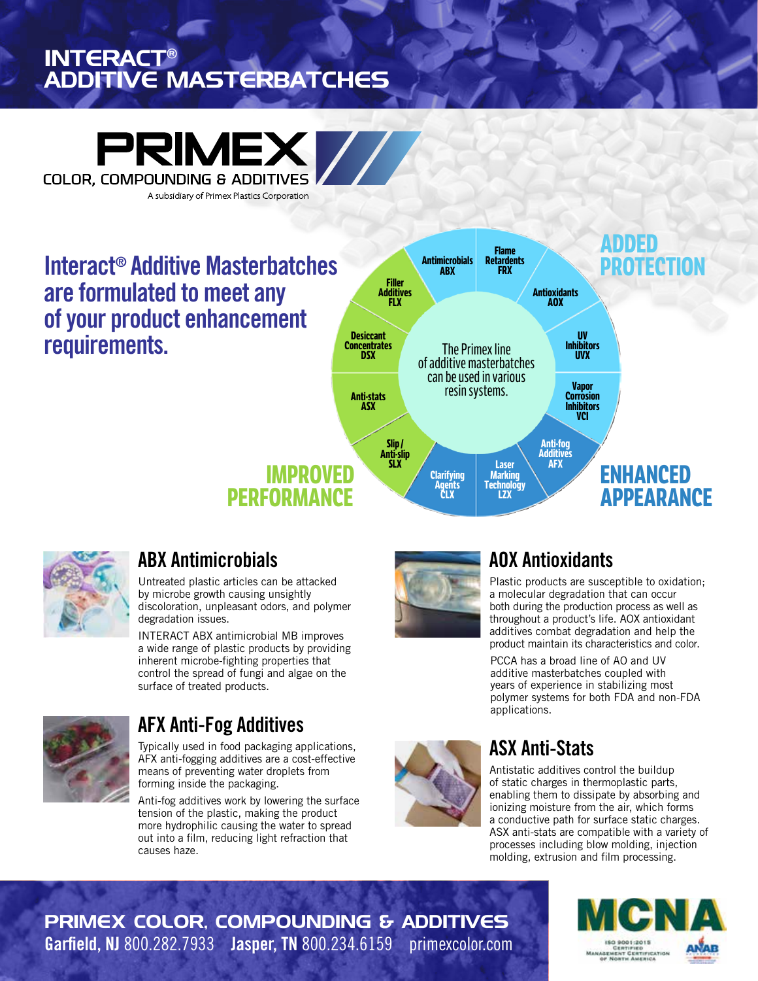## INTERACT® ADDITIVE MASTERBATCHES



**Interact® Additive Masterbatches are formulated to meet any of your product enhancement requirements.**





### **ABX Antimicrobials**

Untreated plastic articles can be attacked by microbe growth causing unsightly discoloration, unpleasant odors, and polymer degradation issues.

INTERACT ABX antimicrobial MB improves a wide range of plastic products by providing inherent microbe-fighting properties that control the spread of fungi and algae on the surface of treated products.



### **AFX Anti-Fog Additives**

Typically used in food packaging applications, AFX anti-fogging additives are a cost-effective means of preventing water droplets from forming inside the packaging.

Anti-fog additives work by lowering the surface tension of the plastic, making the product more hydrophilic causing the water to spread out into a film, reducing light refraction that causes haze.



# **AOX Antioxidants**

Plastic products are susceptible to oxidation; a molecular degradation that can occur both during the production process as well as throughout a product's life. AOX antioxidant additives combat degradation and help the product maintain its characteristics and color.

PCCA has a broad line of AO and UV additive masterbatches coupled with years of experience in stabilizing most polymer systems for both FDA and non-FDA applications.

# **ASX Anti-Stats**

Antistatic additives control the buildup of static charges in thermoplastic parts, enabling them to dissipate by absorbing and ionizing moisture from the air, which forms a conductive path for surface static charges. ASX anti-stats are compatible with a variety of processes including blow molding, injection molding, extrusion and film processing.

PRIMEX COLOR, COMPOUNDING & ADDITIVES **Garfield, NJ** 800.282.7933 **Jasper, TN** 800.234.6159 primexcolor.com